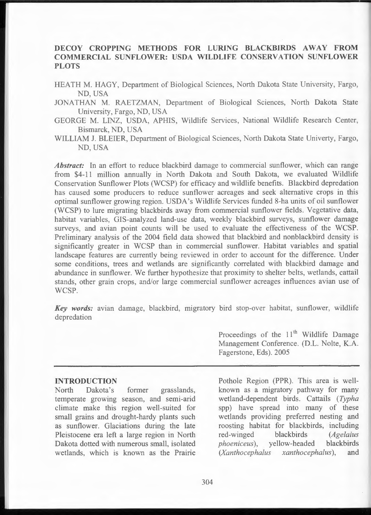# **DECOY CROPPING METHODS FOR LURING BLACKBIRDS AWAY FROM COMMERCIAL SUNFLOWER: USDA WILDLIFE CONSERVATION SUNFLOWER PLOTS**

HEATH M. HAGY, Department of Biological Sciences, North Dakota State University, Fargo, ND, USA

JONATHAN M. RAETZMAN, Department of Biological Sciences, North Dakota State University, Fargo, ND, USA

- GEORGE M. LINZ, USDA, APHIS, Wildlife Services, National Wildlife Research Center, Bismarck, ND, USA
- WILLIAM J. BLEIER, Department of Biological Sciences, North Dakota State Univerty, Fargo, ND, USA

Abstract: In an effort to reduce blackbird damage to commercial sunflower, which can range from \$4-11 million annually in North Dakota and South Dakota, we evaluated Wildlife Conservation Sunflower Plots (WCSP) for efficacy and wildlife benefits. Blackbird depredation has caused some producers to reduce sunflower acreages and seek alternative crops in this optimal sunflower growing region. USDA 's Wildlife Services funded 8-ha units of oil sunflower (WCSP) to lure migrating blackbirds away from commercial sunflower fields. Vegetative data, habitat variables, GIS-analyzed land-use data, weekly blackbird surveys, sunflower damage surveys, and avian point counts will be used to evaluate the effectiveness of the WCSP. Preliminary analysis of the 2004 field data showed that blackbird and nonblackbird density is significantly greater in WCSP than in commercial sunflower. Habitat variables and spatial landscape features are currently being reviewed in order to account for the difference. Under some conditions, trees and wetlands are significantly correlated with blackbird damage and abundance in sunflower. We further hypothesize that proximity to shelter belts, wetlands, cattail stands, other grain crops, and/or large commercial sunflower acreages influences avian use of WCSP.

Key words: avian damage, blackbird, migratory bird stop-over habitat, sunflower, wildlife depredation

#### **INTRODUCTION**

North Dakota's former grasslands, temperate growing season, and semi-arid climate make this region well-suited for small grains and drought-hardy plants such as sunflower. Glaciations during the late Pleistocene era left a large region in North Dakota dotted with numerous small, isolated wetlands, which is known as the Prairie

Proceedings of the  $11<sup>th</sup>$  Wildlife Damage Management Conference. (D.L. Nolte, K.A. Fagerstone, Eds). 2005

Pothole Region (PPR). This area is wellknown as a migratory pathway for many wetland-dependent birds. Cattails *(Typha*  spp) have spread into many of these wetlands providing preferred nesting and roosting habitat for blackbirds, including red-winged blackbirds *(Agelaius phoeniceus),* yellow-headed blackbirds *(Xantho cephalus xanthocephalus),* and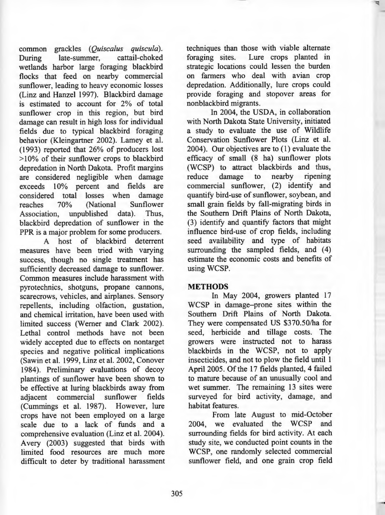common grackles *(Quiscalus quiscula).*  During late-summer, cattail-choked wetlands harbor large foraging blackbird flocks that feed on nearby commercial sunflower, leading to heavy economic losses (Linz and Hanzel 1997). Blackbird damage is estimated to account for 2% of total sunflower crop in this region, but bird damage can result in high loss for individual fields due to typical blackbird foraging behavior (Kleingartner 2002). Lamey et al. (1993) reported that 26% of producers lost <sup>&</sup>gt;10% of their sunflower crops to blackbird depredation in North Dakota. Profit margins are considered negligible when damage exceeds 10% percent and fields are considered total losses when damage reaches 70% (National Sunflower Association, unpublished data). Thus, blackbird depredation of sunflower in the PPR is a major problem for some producers.

A host of blackbird deterrent measures have been tried with varying success, though no single treatment has sufficiently decreased damage to sunflower. Common measures include harassment with pyrotechnics, shotguns, propane cannons, scarecrows, vehicles, and airplanes. Sensory repellents, including olfaction, gustation, and chemical irritation, have been used with limited success (Werner and Clark 2002). Lethal control methods have not been widely accepted due to effects on nontarget species and negative political implications (Sawin et al. 1999, Linz et al. 2002, Conover 1984). Preliminary evaluations of decoy plantings of sunflower have been shown to be effective at luring blackbirds away from adjacent commercial sunflower fields (Cummings et al. 1987). However, lure crops have not been employed on a large scale due to a lack of funds and a comprehensive evaluation (Linz et al. 2004). Avery (2003) suggested that birds with limited food resources are much more difficult to deter by traditional harassment techniques than those with viable alternate foraging sites. Lure crops planted in strategic locations could lessen the burden on farmers who deal with avian crop depredation. Additionally, lure crops could provide foraging and stopover areas for nonblackbird migrants.

In 2004, the USDA, in collaboration with North Dakota State University, initiated a study to evaluate the use of Wildlife Conservation Sunflower Plots (Linz et al. 2004). Our objectives are to (1) evaluate the efficacy of small (8 ha) sunflower plots (WCSP) to attract blackbirds and thus, reduce damage to nearby ripening commercial sunflower, (2) identify and quantify bird-use of sunflower, soybean, and small grain fields by fall-migrating birds in the Southern Drift Plains of North Dakota, (3) identify and quantify factors that might influence bird-use of crop fields, including seed availability and type of habitats surrounding the sampled fields, and  $(4)$ estimate the economic costs and benefits of using WCSP.

### **METHODS**

In May 2004, growers planted 17 WCSP in damage-prone sites within the Southern Drift Plains of North Dakota. They were compensated US \$370.50/ha for seed, herbicide and tillage costs. The growers were instructed not to harass blackbirds in the WCSP, not to apply insecticides, and not to plow the field until 1 April 2005. Of the 17 fields planted, 4 failed to mature because of an unusually cool and wet summer. The remaining 13 sites were surveyed for bird activity, damage, and habitat features.

From late August to mid-October 2004, we evaluated the WCSP and surrounding fields for bird activity. At each study site, we conducted point counts in the WCSP, one randomly selected commercial sunflower field, and one grain crop field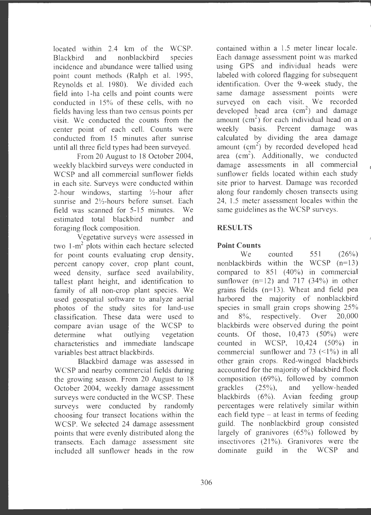located within  $2.4 \text{ km of the WCSP.}$ Blackbird and nonblackbird species incidence and abundance were tallied using point count methods (Ralph et al. 1995, Reynolds et al. 1980). We divided each field into 1-ha cells and point counts were conducted in 15% of these cells, with no fields having less than two census points per visit. We conducted the counts from the center point of each cell. Counts were conducted from 15 minutes after sunrise until all three field types had been surveyed.

From 20 August to 18 October 2004, weekly blackbird surveys were conducted in WCSP and all commercial sunflower fields in each site. Surveys were conducted within 2-hour windows, starting  $\frac{1}{2}$ -hour after sunrise and  $2\frac{1}{2}$ -hours before sunset. Each field was scanned for 5-15 minutes. We estimated total blackbird number and foraging flock composition.

Vegetative surveys were assessed in two  $1-m^2$  plots within each hectare selected for point counts evaluating crop density, percent canopy cover, crop plant count, weed density, surface seed availability, tallest plant height, and identification to family of all non-crop plant species. We used geospatial software to analyze aerial photos of the study sites for land-use classification. These data were used to compare avian usage of the WCSP to determine what outlying vegetation characteristics and immediate landscape variables best attract blackbirds.

Blackbird damage was assessed in WCSP and nearby commercial fields during the growing season. From 20 August to 18 October 2004, weekly damage assessment surveys were conducted in the WCSP. These surveys were conducted by randomly choosing four transect locations within the WCSP. We selected 24 damage assessment points that were evenly distributed along the transects . Each damage assessment site included all sunflower heads in the row

contained within a 1.5 meter linear locale. Each damage assessment point was marked using GPS and individual heads were labeled with colored flagging for subsequent identification. Over the 9-week study, the same damage assessment points were surveyed on each visit. We recorded developed head area  $(cm<sup>2</sup>)$  and damage amount  $(cm<sup>2</sup>)$  for each individual head on a weekly basis. Percent damage was calculated by dividing the area damage amount  $(cm<sup>2</sup>)$  by recorded developed head area (cm<sup>2</sup>). Additionally, we conducted damage assessments in all commercial sunflower fields located within each study site prior to harvest. Damage was recorded along four randomly chosen transects using 24, 1.5 meter assessment locales within the same guidelines as the WCSP surveys.

# **RESULTS**

# **Point Counts**

We counted 551 (26%) nonblackbirds within the WCSP  $(n=13)$ compared to  $851$   $(40\%)$  in commercial sunflower ( $n=12$ ) and 717 (34%) in other grains fields (n=l3). Wheat and field pea harbored the majority of nonblackbird species in small grain crops showing 25% and 8%, respectively. Over 20,000 blackbirds were observed during the point counts. Of those,  $10,473$  (50%) were counted in WCSP,  $10,424$   $(50\%)$  in commercial sunflower and 73  $(\leq 1\%)$  in all other grain crops. Red-winged blackbirds accounted for the majority of blackbird flock composition (69%), followed by common grackles  $(25\%)$ , and yellow-headed blackbirds (6%). Avian feeding group percentages were relatively similar within each field type  $-$  at least in terms of feeding guild. The nonblackbird group consisted largely of granivores (65%) followed by insectivores  $(21\%)$ . Granivores were the dominate guild in the WCSP and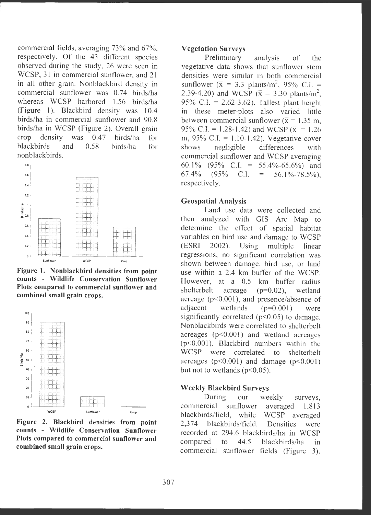commercial fields, averaging 73% and 67% , respectively. Of the 43 different species observed during the study, 26 were seen in WCSP, 31 in commercial sunflower, and 21 in all other grain. Nonblackbird density in commercial sunflower was 0.74 birds/ha whereas WCSP harbored 1.56 birds/ha (Figure 1). Blackbird density was 10.4 birds/ha in commercial sunflower and 90.8 birds/ha in WCSP (Figure 2). Overall grain crop density was  $0.47$  birds/ha for blackbirds and 0.58 birds/ha for nonblackbirds .



**Figure 1. Nonblackbird densities from point counts** - **Wildlife Conservation Sunflower Plots compared to commercial sunflower and combined small grain crops.** 



**Figure 2. Blackbird densities from point counts** - **Wildlife Conservation Sunflower Plots compared to commercial sunflower and combined small grain crops.** 

#### **Vegetation Surveys**

Preliminary analysis of the vegetative data shows that sunflower stem densities were similar in both commercial sunflower  $(\bar{x} = 3.3 \text{ plants/m}^2, 95\% \text{ C.I.} =$ 2.39-4.20) and WCSP ( $\bar{x}$  = 3.30 plants/m<sup>2</sup>, 95% C.I. =  $2.62-3.62$ ). Tallest plant height in these meter-plots also varied little between commercial sunflower ( $\bar{x}$  = 1.35 m, 95% C.I. = 1.28-1.42) and WCSP  $(\bar{x} = 1.26$ m,  $95\%$  C.I. = 1.10-1.42). Vegetative cover shows negligible differences with commercial sunflower and WCSP averaging 60.1% (95% C.I. = 55.4%-65.6%) and 67.4% (95% C.I. = 56.1%-78.5%), respectively.

#### **Geospatial Analysis**

Land use data were collected and then analyzed with GIS Arc Map to determine the effect of spatial habitat variables on bird use and damage to WCSP (ESRI 2002). Using multiple linear regressions, no significant correlation was shown between damage, bird use, or land use within a 2.4 km buffer of the WCSP. However, at a 0.5 km buffer radius shelterbelt acreage (p=0.02), wetland acreage ( $p<0.001$ ), and presence/absence of adjacent wetlands (p=0.001) were significantly correlated  $(p<0.05)$  to damage. Nonblackbirds were correlated to shelterbelt acreages (p<0.001) and wetland acreages  $(p<0.001)$ . Blackbird numbers within the WCSP were correlated to shelterbelt acreages ( $p<0.001$ ) and damage ( $p<0.001$ ) but not to wetlands ( $p<0.05$ ).

### **Weekly Blackbird Surveys**

During our weekly surveys, commercial sunflower averaged 1,813 blackbirds/field, while WCSP averaged 2,374 blackbirds/field. Densities were recorded at 294.6 blackbirds/ha in WCSP compared to  $44.5$  blackbirds/ha in commercial sunflower fields (Figure 3).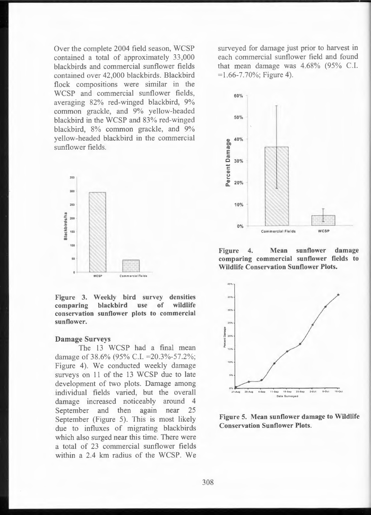Over the complete 2004 field season, WCSP contained a total of approximately 33,000 blackbirds and commercial sunflower fields contained over 42,000 blackbirds. Blackbird flock compositions were similar in the WCSP and commercial sunflower fields, averaging 82% red-winged blackbird, 9% common grackle, and 9% yellow-headed blackbird in the WCSP and 83% red-winged blackbird, 8% common grackle, and 9% yellow-headed blackbird in the commercial sunflower fields.



**Figure 3. Weekly bird survey densities comparing blackbird use of wildlife conservation sunflower plots to commercial sunflower .** 

#### **Damage Surveys**

The 13 WCSP had a final mean damage of 38.6% (95% C.I. = 20.3%-57.2%; Figure 4). We conducted weekly damage surveys on 11 of the 13 WCSP due to late development of two plots. Damage among individual fields varied, but the overall damage increased noticeably around 4 September and then again near 25 September (Figure 5). This is most likely due to influxes of migrating blackbirds which also surged near this time. There were a total of 23 commercial sunflower fields within a 2.4 km radius of the WCSP. We

surveyed for damage just prior to harvest in each commercial sunflower field and found that mean damage was 4.68% (95% C.I.  $= 1.66 - 7.70\%$ ; Figure 4).



**Figure 4. Mean sunflower damage comparing commercial sunflower fields to Wildlife Conservation Sunflower Plots.** 



Figure 5. Mean sunflower damage to Wildlife Conservation Sunflower Plots.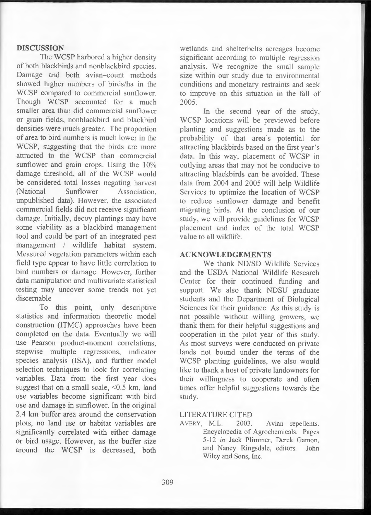### **DISCUSSION**

The WCSP harbored a higher density of both blackbirds and nonblackbird species. Damage and both avian-count methods showed higher numbers of birds/ha in the WCSP compared to commercial sunflower. Though WCSP accounted for a much smaller area than did commercial sunflower or grain fields, nonblackbird and blackbird densities were much greater. The proportion of area to bird numbers is much lower in the WCSP, suggesting that the birds are more attracted to the WCSP than commercial sunflower and grain crops. Using the 10% damage threshold, all of the WCSP would be considered total losses negating harvest (National Sunflower Association, unpublished data). However, the associated commercial fields did not receive significant damage. Initially, decoy plantings may have some viability as a blackbird management tool and could be part of an integrated pest management / wildlife habitat system. Measured vegetation parameters within each field type appear to have little correlation to bird numbers or damage. However, further data manipulation and multivariate statistical testing may uncover some trends not yet discemable

To this point, only descriptive statistics and information theoretic model construction (ITMC) approaches have been completed on the data. Eventually we will use Pearson product-moment correlations, stepwise multiple regressions, indicator species analysis (ISA), and further model selection techniques to look for correlating variables. Data from the first year does suggest that on a small scale,  $\leq 0.5$  km, land use variables become significant with bird use and damage in sunflower. In the original 2.4 km buffer area around the conservation plots, no land use or habitat variables are significantly correlated with either damage or bird usage. However, as the buffer size around the WCSP is decreased, both

wetlands and shelterbelts acreages become significant according to multiple regression analysis . We recognize the small sample size within our study due to environmental conditions and monetary restraints and seek to improve on this situation in the fall of 2005.

In the second year of the study, WCSP locations will be previewed before planting and suggestions made as to the probability of that area's potential for attracting blackbirds based on the first year 's data. In this way, placement of WCSP in outlying areas that may not be conducive to attracting blackbirds can be avoided. These data from 2004 and 2005 will help Wildlife Services to optimize the location of WCSP to reduce sunflower damage and benefit migrating birds. At the conclusion of our study, we will provide guidelines for WCSP placement and index of the total WCSP value to all wildlife.

### **ACKNOWLEDGEMENTS**

We thank ND/SD Wildlife Services and the USDA National Wildlife Research Center for their continued funding and support. We also thank NDSU graduate students and the Department of Biological Sciences for their guidance. As this study is not possible without willing growers, we thank them for their helpful suggestions and cooperation in the pilot year of this study. As most surveys were conducted on private lands not bound under the terms of the WCSP planting guidelines, we also would like to thank a host of private landowners for their willingness to cooperate and often times offer helpful suggestions towards the study.

## LITERATURE CITED

AVERY, M.L. 2003. Avian repellents. Encyclopedia of Agrochemicals. Pages 5-12 *in* Jack Plimmer, Derek Gamon, and Nancy Ringsdale, editors. John Wiley and Sons, Inc.